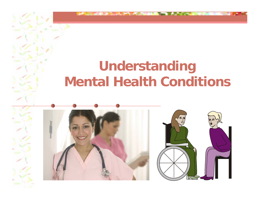## **Understanding Mental Health Conditions**



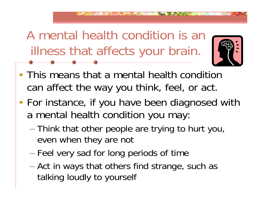A mental health condition is an illness that affects your brain.



- This means that a mental health condition can affect the way you think, feel, or act.
- • For instance, if you have been diagnosed with a mental health condition you may:
	- Think that other people are trying to hurt you, even when they are not
	- $\mathcal{L}_{\mathcal{A}}$ Feel very sad for long periods of time
	- Act in ways that others find strange, such as talking loudly to yourself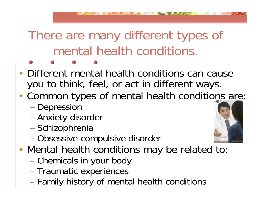### There are many different types of mental health conditions.

- Different mental health conditions can cause you to think, feel, or act in different ways.
- • Common types of mental health conditions are:
	- Depression
	- Anxiety disorder
	- Schizophrenia
	- Obsessive-compulsive disorder
- • Mental health conditions may be related to:
	- Chemicals in your body
	- Traumatic experiences
	- Family history of mental health conditions

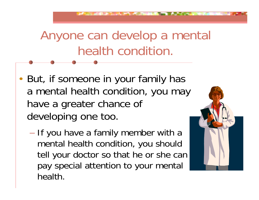### Anyone can develop a mental health condition.

- •• But, if someone in your family has a mental health condition, you may have a greater chance of developing one too.
	- If you have a family member with a mental health condition, you should tell your doctor so that he or she can pay special attention to your mental health.

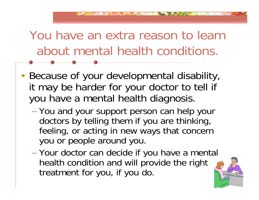## You have an extra reason to learn about mental health conditions.

- • Because of your developmental disability, it may be harder for your doctor to tell if you have a mental health diagnosis.
	- You and your support person can help your doctors by telling them if you are thinking, feeling, or acting in new ways that concern you or people around you.
	- Your doctor can decide if you have a mental health condition and will provide the right treatment for you, if you do.

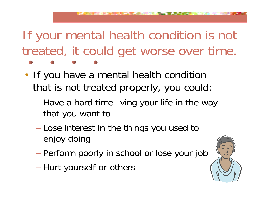## If your mental health condition is not treated, it could get worse over time.

- •• If you have a mental health condition that is not treated properly, you could:
	- $\mathcal{L}_{\mathcal{A}}$ – Have a hard time living your life in the way that you want to
	- Lose interest in the things you used to enjoy doing
	- Perform poorly in school or lose your job
	- Hurt yourself or others

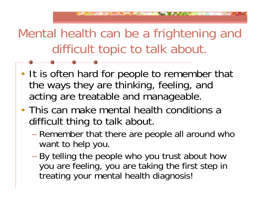Mental health can be a frightening and difficult topic to talk about.

- •• It is often hard for people to remember that the ways they are thinking, feeling, and acting are treatable and manageable.
- This can make mental health conditions a difficult thing to talk about.
	- Remember that there are people all around who want to help you.
	- By telling the people who you trust about how you are feeling, you are taking the first step in treating your mental health diagnosis!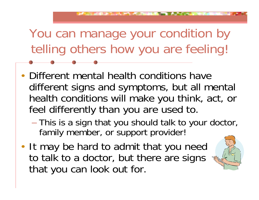You can manage your condition by telling others how you are feeling!

- • Different mental health conditions have different signs and symptoms, but all mental health conditions will make you think, act, or feel differently than you are used to.
	- This is a sign that you should talk to your doctor, family member, or support provider!
- •• It may be hard to admit that you need to talk to a doctor, but there are signs that you can look out for.

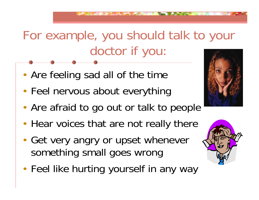# For example, you should talk to your doctor if you:

- •Are feeling sad all of the time
- •Feel nervous about everything
- •Are afraid to go out or talk to people
- •• Hear voices that are not really there
- • Get very angry or upset whenever something small goes wrong
- •• Feel like hurting yourself in any way



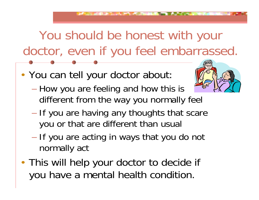You should be honest with your doctor, even if you feel embarrassed.

•You can tell your doctor about:



- How you are feeling and how this is different from the way you normally feel
- If you are having any thoughts that scare you or that are different than usual
- If you are acting in ways that you do not normally act
- • This will help your doctor to decide if you have a mental health condition.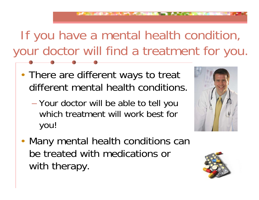## If you have a mental health condition, your doctor will find a treatment for you.

- •• There are different ways to treat different mental health conditions.
	- Your doctor will be able to tell you which treatment will work best for you!



• Many mental health conditions can be treated with medications or with therapy.

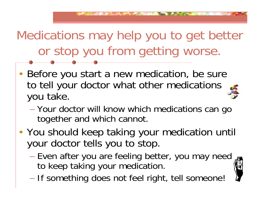Medications may help you to get better or stop you from getting worse.

- • Before you start a new medication, be sure to tell your doctor what other medications you take.
	- Your doctor will know which medications can go together and which cannot.
- • You should keep taking your medication until your doctor tells you to stop.
	- Even after you are feeling better, you may need to keep taking your medication.
	- If something does not feel right, tell someone!

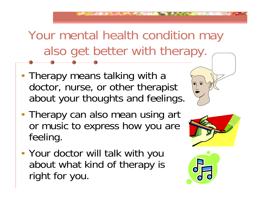Your mental health condition may also get better with therapy.

- •• Therapy means talking with a doctor, nurse, or other therapist about your thoughts and feelings.
- •• Therapy can also mean using art or music to express how you are feeling.
- • Your doctor will talk with you about what kind of therapy is right for you.



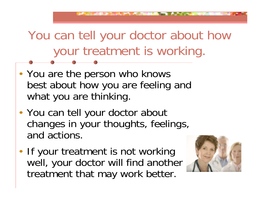# You can tell your doctor about how your treatment is working.

- •• You are the person who knows best about how you are feeling and what you are thinking.
- •• You can tell your doctor about changes in your thoughts, feelings, and actions.
- •• If your treatment is not working well, your doctor will find another treatment that may work better.

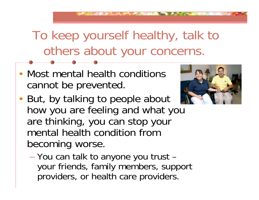To keep yourself healthy, talk to others about your concerns.

• Most mental health conditions cannot be prevented.



- •• But, by talking to people about how you are feeling and what you are thinking, you can stop your mental health condition from becoming worse.
	- You can talk to anyone you trust your friends, family members, support providers, or health care providers.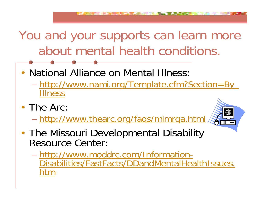You and your supports can learn more about mental health conditions.

- • National Alliance on Mental Illness:  $\mathcal{L}_{\mathcal{A}}$  http://www.nami.org/Template.cfm?Section=By\_ Illness
- The Arc:
	- http://www.thearc.org/faqs/mimrqa.html



- •• The Missouri Developmental Disability Resource Center:
	- http://www.moddrc.com/Information-Disabilities/FastFacts/DDandMentalHealthIssues. tm